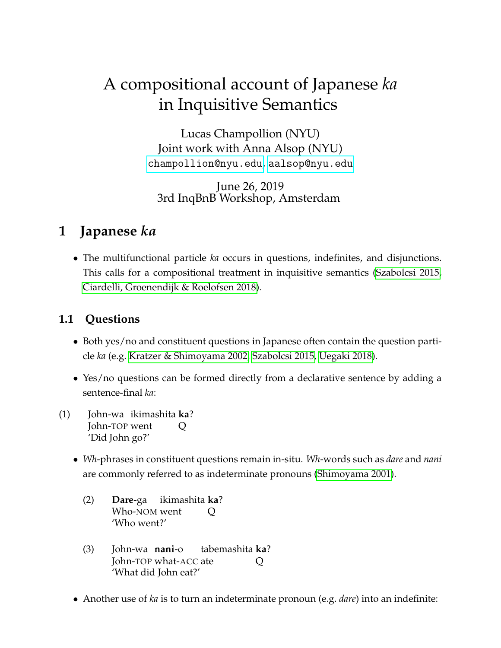# A compositional account of Japanese *ka* in Inquisitive Semantics

Lucas Champollion (NYU) Joint work with Anna Alsop (NYU) <champollion@nyu.edu>, <aalsop@nyu.edu>

June 26, 2019 3rd InqBnB Workshop, Amsterdam

## **1 Japanese** *ka*

• The multifunctional particle *ka* occurs in questions, indefinites, and disjunctions. This calls for a compositional treatment in inquisitive semantics [\(Szabolcsi 2015,](#page-25-0) [Ciardelli, Groenendijk & Roelofsen 2018\)](#page-24-0).

#### **1.1 Questions**

- Both yes/no and constituent questions in Japanese often contain the question particle *ka* (e.g. [Kratzer & Shimoyama 2002,](#page-24-1) [Szabolcsi 2015,](#page-25-0) [Uegaki 2018\)](#page-25-1).
- Yes/no questions can be formed directly from a declarative sentence by adding a sentence-final *ka*:
- (1) John-wa ikimashita **ka**? John-TOP went Q 'Did John go?'
	- *Wh*-phrases in constituent questions remain in-situ. *Wh*-words such as *dare* and *nani* are commonly referred to as indeterminate pronouns [\(Shimoyama 2001\)](#page-25-2).
		- (2) **Dare**-ga Who-NOM went ikimashita **ka**? Q 'Who went?'
		- (3) John-wa **nani**-o John-TOP what-ACC ate tabemashita **ka**? Q 'What did John eat?'
	- Another use of *ka* is to turn an indeterminate pronoun (e.g. *dare*) into an indefinite: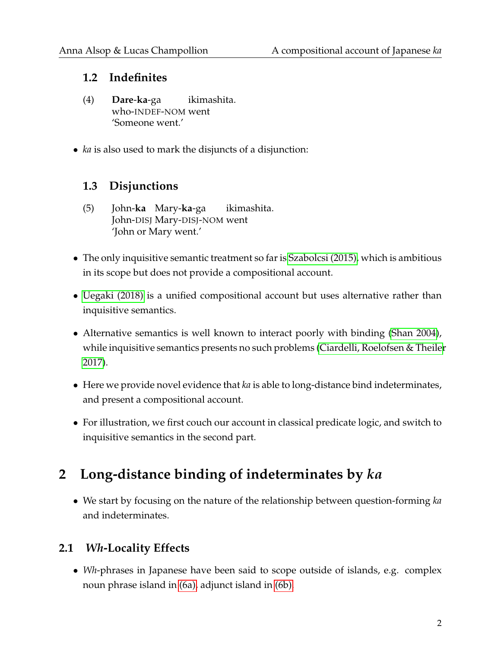#### **1.2 Indefinites**

- (4) **Dare**-**ka**-ga who-INDEF-NOM went ikimashita. 'Someone went.'
- *ka* is also used to mark the disjuncts of a disjunction:

### **1.3 Disjunctions**

- (5) John-**ka** Mary-**ka**-ga John-DISJ Mary-DISJ-NOM went ikimashita. 'John or Mary went.'
- The only inquisitive semantic treatment so far is [Szabolcsi \(2015\),](#page-25-0) which is ambitious in its scope but does not provide a compositional account.
- [Uegaki \(2018\)](#page-25-1) is a unified compositional account but uses alternative rather than inquisitive semantics.
- Alternative semantics is well known to interact poorly with binding [\(Shan 2004\)](#page-25-3), while inquisitive semantics presents no such problems [\(Ciardelli, Roelofsen & Theiler](#page-24-2) [2017\)](#page-24-2).
- Here we provide novel evidence that *ka* is able to long-distance bind indeterminates, and present a compositional account.
- For illustration, we first couch our account in classical predicate logic, and switch to inquisitive semantics in the second part.

## **2 Long-distance binding of indeterminates by** *ka*

• We start by focusing on the nature of the relationship between question-forming *ka* and indeterminates.

### **2.1** *Wh***-Locality Effects**

• *Wh*-phrases in Japanese have been said to scope outside of islands, e.g. complex noun phrase island in [\(6a\),](#page-2-0) adjunct island in [\(6b\).](#page-2-1)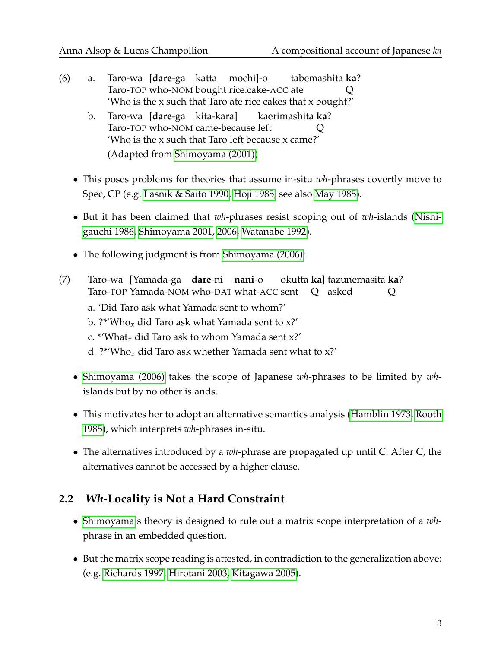- <span id="page-2-1"></span><span id="page-2-0"></span>(6) a. Taro-wa [**dare**-ga katta mochi]-o Taro-TOP who-NOM bought rice.cake-ACC ate tabemashita **ka**? Q 'Who is the x such that Taro ate rice cakes that x bought?'
	- b. Taro-wa [**dare**-ga kita-kara] Taro-TOP who-NOM came-because left kaerimashita **ka**?  $\overline{O}$ 'Who is the x such that Taro left because x came?' (Adapted from [Shimoyama \(2001\)\)](#page-25-2)
	- This poses problems for theories that assume in-situ *wh*-phrases covertly move to Spec, CP (e.g. [Lasnik & Saito 1990,](#page-24-3) [Hoji 1985;](#page-24-4) see also [May 1985\)](#page-25-4).
	- But it has been claimed that *wh*-phrases resist scoping out of *wh*-islands [\(Nishi](#page-25-5)[gauchi 1986,](#page-25-5) [Shimoyama 2001,](#page-25-2) [2006,](#page-25-6) [Watanabe 1992\)](#page-25-7).
	- The following judgment is from [Shimoyama \(2006\):](#page-25-6)
- (7) Taro-wa [Yamada-ga **dare**-ni **nani**-o Taro-TOP Yamada-NOM who-DAT what-ACC sent okutta **ka**] tazunemasita **ka**? Q asked Q
	- a. 'Did Taro ask what Yamada sent to whom?'
	- b. ?\*'Who*x* did Taro ask what Yamada sent to x?'
	- c. \*'What*x* did Taro ask to whom Yamada sent x?'
	- d. ?\*'Who*x* did Taro ask whether Yamada sent what to x?'
	- [Shimoyama \(2006\)](#page-25-6) takes the scope of Japanese *wh*-phrases to be limited by *wh*islands but by no other islands.
	- This motivates her to adopt an alternative semantics analysis [\(Hamblin 1973,](#page-24-5) [Rooth](#page-25-8) [1985\)](#page-25-8), which interprets *wh*-phrases in-situ.
	- The alternatives introduced by a *wh*-phrase are propagated up until C. After C, the alternatives cannot be accessed by a higher clause.

### **2.2** *Wh***-Locality is Not a Hard Constraint**

- [Shimoyama'](#page-25-6)s theory is designed to rule out a matrix scope interpretation of a *wh*phrase in an embedded question.
- <span id="page-2-2"></span>• But the matrix scope reading is attested, in contradiction to the generalization above: (e.g. [Richards 1997,](#page-25-9) [Hirotani 2003,](#page-24-6) [Kitagawa 2005\)](#page-24-7).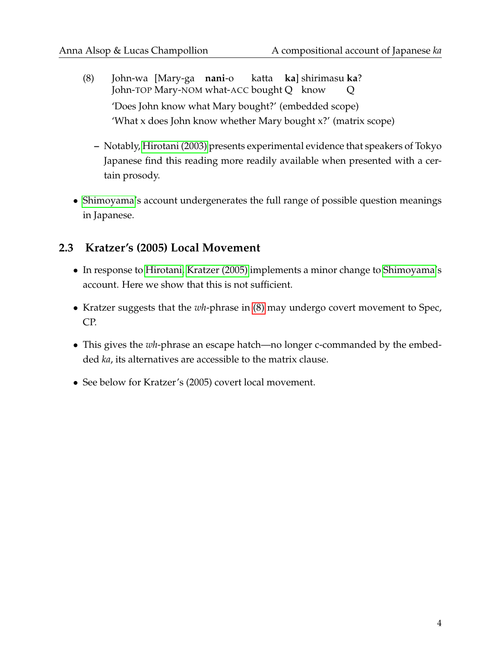- (8) John-wa [Mary-ga **nani**-o John-TOP Mary-NOM what-ACC bought Q know katta **ka**] shirimasu **ka**? Q 'Does John know what Mary bought?' (embedded scope) 'What x does John know whether Mary bought x?' (matrix scope)
	- **–** Notably, [Hirotani \(2003\)](#page-24-6) presents experimental evidence that speakers of Tokyo Japanese find this reading more readily available when presented with a certain prosody.
- [Shimoyama'](#page-25-6)s account undergenerates the full range of possible question meanings in Japanese.

#### **2.3 Kratzer's (2005) Local Movement**

- In response to [Hirotani,](#page-24-6) [Kratzer \(2005\)](#page-24-8) implements a minor change to [Shimoyama'](#page-25-6)s account. Here we show that this is not sufficient.
- Kratzer suggests that the *wh*-phrase in [\(8\)](#page-2-2) may undergo covert movement to Spec, CP.
- This gives the *wh*-phrase an escape hatch—no longer c-commanded by the embedded *ka*, its alternatives are accessible to the matrix clause.
- See below for Kratzer's (2005) covert local movement.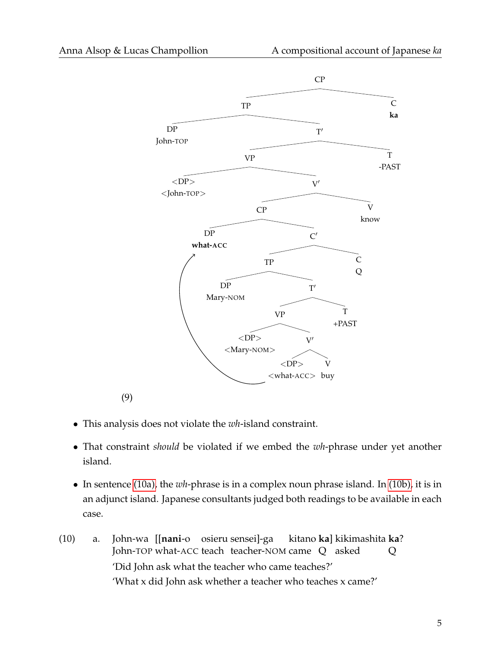

• This analysis does not violate the *wh*-island constraint.

(9)

- That constraint *should* be violated if we embed the *wh*-phrase under yet another island.
- In sentence [\(10a\),](#page-4-0) the *wh*-phrase is in a complex noun phrase island. In [\(10b\),](#page-5-0) it is in an adjunct island. Japanese consultants judged both readings to be available in each case.
- <span id="page-4-0"></span>(10) a. John-wa [[**nani**-o osieru sensei]-ga John-TOP what-ACC teach teacher-NOM came Q asked kitano **ka**] kikimashita **ka**? Q 'Did John ask what the teacher who came teaches?' 'What x did John ask whether a teacher who teaches x came?'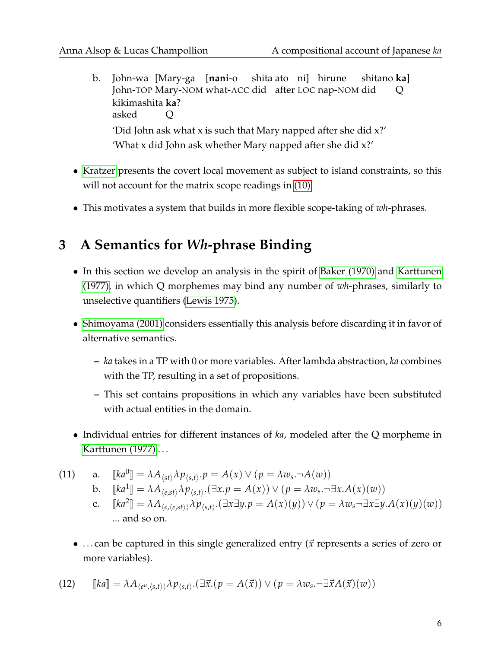- <span id="page-5-0"></span>b. John-wa [Mary-ga [**nani**-o John-TOP Mary-NOM what-ACC did after LOC nap-NOM did shita ato ni] hirune shitano **ka**] Q kikimashita **ka**? asked  $\rm{O}$ 'Did John ask what x is such that Mary napped after she did x?' 'What x did John ask whether Mary napped after she did x?'
- [Kratzer](#page-24-8) presents the covert local movement as subject to island constraints, so this will not account for the matrix scope readings in [\(10\).](#page-4-0)
- This motivates a system that builds in more flexible scope-taking of *wh*-phrases.

## **3 A Semantics for** *Wh***-phrase Binding**

- In this section we develop an analysis in the spirit of [Baker \(1970\)](#page-24-9) and [Karttunen](#page-24-10) [\(1977\),](#page-24-10) in which Q morphemes may bind any number of *wh*-phrases, similarly to unselective quantifiers [\(Lewis 1975\)](#page-25-10).
- [Shimoyama \(2001\)](#page-25-2) considers essentially this analysis before discarding it in favor of alternative semantics.
	- **–** *ka* takes in a TP with 0 or more variables. After lambda abstraction, *ka* combines with the TP, resulting in a set of propositions.
	- **–** This set contains propositions in which any variables have been substituted with actual entities in the domain.
- Individual entries for different instances of *ka*, modeled after the Q morpheme in [Karttunen \(1977\)](#page-24-10) . . .

(11) a. 
$$
[[ka^0]] = \lambda A_{\langle st \rangle} \lambda p_{\langle s,t \rangle} \cdot p = A(x) \vee (p = \lambda w_s \cdot \neg A(w))
$$
  
\nb.  $[[ka^1]] = \lambda A_{\langle e, st \rangle} \lambda p_{\langle s,t \rangle} \cdot (\exists x.p = A(x)) \vee (p = \lambda w_s \cdot \neg \exists x.A(x)(w))$   
\nc.  $[[ka^2]] = \lambda A_{\langle e, \langle e, st \rangle} \lambda p_{\langle s,t \rangle} \cdot (\exists x \exists y.p = A(x)(y)) \vee (p = \lambda w_s \neg \exists x \exists y.A(x)(y)(w))$   
\n... and so on.

• ... can be captured in this single generalized entry ( $\vec{x}$  represents a series of zero or more variables).

(12) 
$$
\llbracket ka \rrbracket = \lambda A_{\langle e^n, \langle s, t \rangle \rangle} \lambda p_{\langle s, t \rangle} \cdot (\exists \vec{x}.(p = A(\vec{x})) \vee (p = \lambda w_s \cdot \neg \exists \vec{x} A(\vec{x})(w))
$$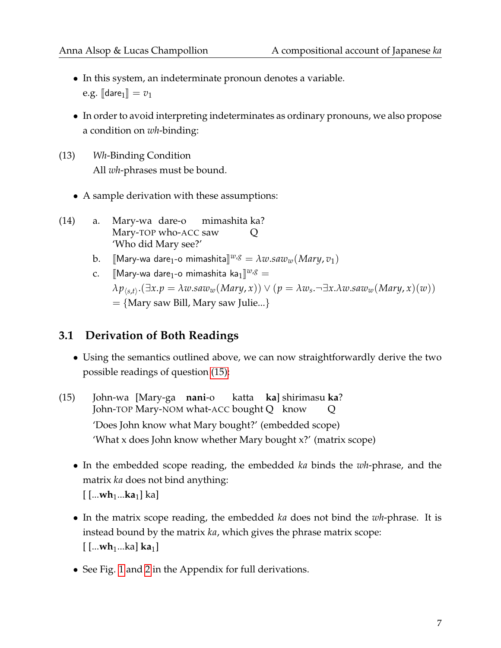- In this system, an indeterminate pronoun denotes a variable. e.g.  $\llbracket$  dare<sub>1</sub> $\rrbracket = v_1$
- In order to avoid interpreting indeterminates as ordinary pronouns, we also propose a condition on *wh*-binding:
- (13) *Wh*-Binding Condition All *wh*-phrases must be bound.
	- A sample derivation with these assumptions:
- (14) a. Mary-wa dare-o Mary-TOP who-ACC saw mimashita ka?  $\overline{O}$ 'Who did Mary see?'
	- b. [[Mary-wa dare<sub>1</sub>-o mimashita]]<sup> $w, g$ </sup> =  $\lambda w. saw_w(Mary, v_1)$
	- c.  $\left[\!\left[\text{Mary-wa dare}_{1}\text{-o mimashita ka}_{1}\right]\!\right]^{w,g} =$  $\lambda p_{\langle s,t\rangle}.(\exists x. p=\lambda w. saw_{w}(Mary,x))\vee (p=\lambda w_{s}.\neg \exists x.\lambda w. saw_{w}(Mary,x)(w))$  $=$  {Mary saw Bill, Mary saw Julie...}

#### **3.1 Derivation of Both Readings**

- Using the semantics outlined above, we can now straightforwardly derive the two possible readings of question [\(15\):](#page-6-0)
- <span id="page-6-0"></span>(15) John-wa [Mary-ga **nani**-o John-TOP Mary-NOM what-ACC bought Q know katta **ka**] shirimasu **ka**? Q 'Does John know what Mary bought?' (embedded scope) 'What x does John know whether Mary bought x?' (matrix scope)
	- In the embedded scope reading, the embedded *ka* binds the *wh*-phrase, and the matrix *ka* does not bind anything: [ [...**wh**1...**ka**1] ka]
	- In the matrix scope reading, the embedded *ka* does not bind the *wh*-phrase. It is instead bound by the matrix *ka*, which gives the phrase matrix scope: [ [...**wh**1...ka] **ka**1]
	- See Fig. [1](#page-22-0) and [2](#page-23-0) in the Appendix for full derivations.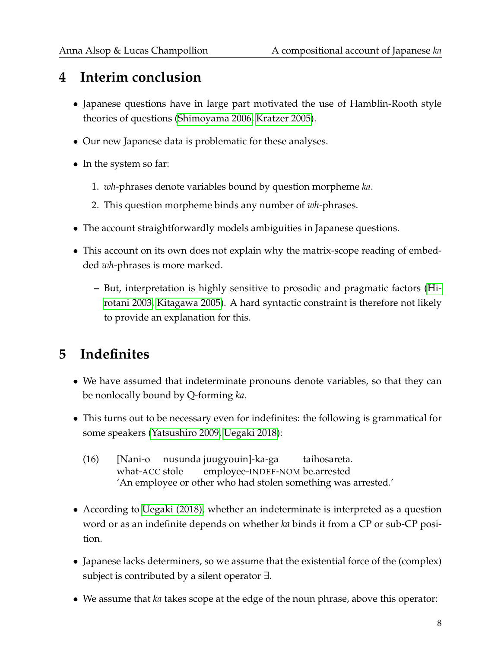## **4 Interim conclusion**

- Japanese questions have in large part motivated the use of Hamblin-Rooth style theories of questions [\(Shimoyama 2006,](#page-25-6) [Kratzer 2005\)](#page-24-8).
- Our new Japanese data is problematic for these analyses.
- In the system so far:
	- 1. *wh*-phrases denote variables bound by question morpheme *ka*.
	- 2. This question morpheme binds any number of *wh*-phrases.
- The account straightforwardly models ambiguities in Japanese questions.
- This account on its own does not explain why the matrix-scope reading of embedded *wh*-phrases is more marked.
	- **–** But, interpretation is highly sensitive to prosodic and pragmatic factors [\(Hi](#page-24-6)[rotani 2003,](#page-24-6) [Kitagawa 2005\)](#page-24-7). A hard syntactic constraint is therefore not likely to provide an explanation for this.

## **5 Indefinites**

- We have assumed that indeterminate pronouns denote variables, so that they can be nonlocally bound by Q-forming *ka*.
- This turns out to be necessary even for indefinites: the following is grammatical for some speakers [\(Yatsushiro 2009,](#page-25-11) [Uegaki 2018\)](#page-25-1):
	- (16) [Nani-o nusunda juugyouin]-ka-ga what-ACC stole employee-INDEF-NOM be.arrested taihosareta. 'An employee or other who had stolen something was arrested.'
- According to [Uegaki \(2018\),](#page-25-1) whether an indeterminate is interpreted as a question word or as an indefinite depends on whether *ka* binds it from a CP or sub-CP position.
- Japanese lacks determiners, so we assume that the existential force of the (complex) subject is contributed by a silent operator ∃.
- We assume that *ka* takes scope at the edge of the noun phrase, above this operator: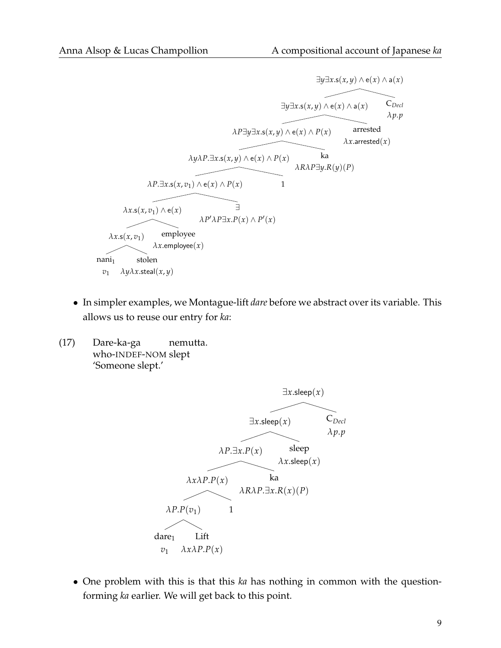$$
\exists y \exists x . s(x,y) \land e(x) \land a(x)
$$
\n
$$
\exists y \exists x . s(x,y) \land e(x) \land a(x)
$$
\n
$$
\exists y \exists x . s(x,y) \land e(x) \land a(x)
$$
\n
$$
\land P \exists y \exists x . s(x,y) \land e(x) \land P(x)
$$
\n
$$
\land x . \text{arrested}
$$
\n
$$
\land x . \text{arrested}
$$
\n
$$
\land y \land P \exists x . s(x,y) \land e(x) \land P(x)
$$
\n
$$
\land R \land P \exists y . R(y) (P)
$$
\n
$$
\land P \land x . s(x, v_1) \land e(x)
$$
\n
$$
\land P' \land P \exists x . P(x) \land P'(x)
$$
\n
$$
\land x . s(x, v_1) \text{ employee}
$$
\n
$$
\land x . \text{employee}(x)
$$
\n
$$
\land x . \text{employee}(x)
$$
\n
$$
\land y \land x . \text{stel}(x, y)
$$

- In simpler examples, we Montague-lift *dare* before we abstract over its variable. This allows us to reuse our entry for *ka*:
- (17) Dare-ka-ga who-INDEF-NOM slept nemutta. 'Someone slept.'



• One problem with this is that this *ka* has nothing in common with the questionforming *ka* earlier. We will get back to this point.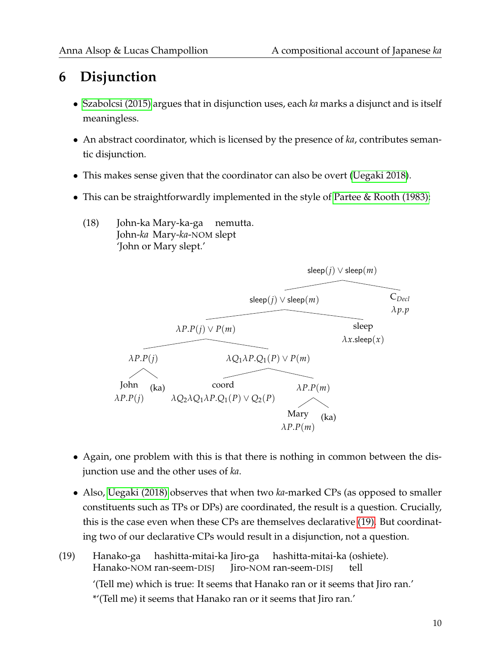## **6 Disjunction**

- [Szabolcsi \(2015\)](#page-25-0) argues that in disjunction uses, each *ka* marks a disjunct and is itself meaningless.
- An abstract coordinator, which is licensed by the presence of *ka*, contributes semantic disjunction.
- This makes sense given that the coordinator can also be overt [\(Uegaki 2018\)](#page-25-1).
- This can be straightforwardly implemented in the style of [Partee & Rooth \(1983\):](#page-25-12)
	- (18) John-ka Mary-ka-ga nemutta. John-*ka* Mary-*ka*-NOM slept 'John or Mary slept.'



- Again, one problem with this is that there is nothing in common between the disjunction use and the other uses of *ka*.
- Also, [Uegaki \(2018\)](#page-25-1) observes that when two *ka*-marked CPs (as opposed to smaller constituents such as TPs or DPs) are coordinated, the result is a question. Crucially, this is the case even when these CPs are themselves declarative [\(19\).](#page-9-0) But coordinating two of our declarative CPs would result in a disjunction, not a question.
- <span id="page-9-0"></span>(19) Hanako-ga Hanako-NOM ran-seem-DISJ hashitta-mitai-ka Jiro-ga Jiro-NOM ran-seem-DISJ hashitta-mitai-ka (oshiete). tell '(Tell me) which is true: It seems that Hanako ran or it seems that Jiro ran.' \*'(Tell me) it seems that Hanako ran or it seems that Jiro ran.'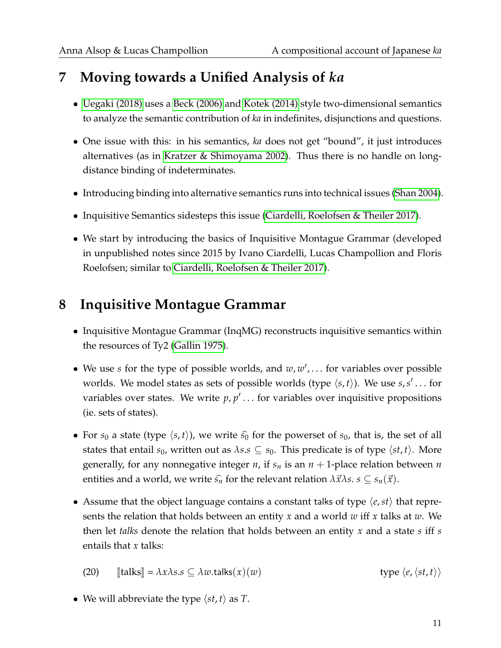## **7 Moving towards a Unified Analysis of** *ka*

- [Uegaki \(2018\)](#page-25-1) uses a [Beck \(2006\)](#page-24-11) and [Kotek \(2014\)](#page-24-12) style two-dimensional semantics to analyze the semantic contribution of *ka* in indefinites, disjunctions and questions.
- One issue with this: in his semantics, *ka* does not get "bound", it just introduces alternatives (as in [Kratzer & Shimoyama 2002\)](#page-24-1). Thus there is no handle on longdistance binding of indeterminates.
- Introducing binding into alternative semantics runs into technical issues [\(Shan 2004\)](#page-25-3).
- Inquisitive Semantics sidesteps this issue [\(Ciardelli, Roelofsen & Theiler 2017\)](#page-24-2).
- We start by introducing the basics of Inquisitive Montague Grammar (developed in unpublished notes since 2015 by Ivano Ciardelli, Lucas Champollion and Floris Roelofsen; similar to [Ciardelli, Roelofsen & Theiler 2017\)](#page-24-2).

## **8 Inquisitive Montague Grammar**

- Inquisitive Montague Grammar (InqMG) reconstructs inquisitive semantics within the resources of Ty2 [\(Gallin 1975\)](#page-24-13).
- We use *s* for the type of possible worlds, and  $w, w', \ldots$  for variables over possible worlds. We model states as sets of possible worlds (type  $\langle s, t \rangle$ ). We use  $s, s' \dots$  for variables over states. We write  $p, p' \dots$  for variables over inquisitive propositions (ie. sets of states).
- For  $s_0$  a state (type  $\langle s, t \rangle$ ), we write  $\hat{s_0}$  for the powerset of  $s_0$ , that is, the set of all states that entail  $s_0$ , written out as  $\lambda s.s \subseteq s_0$ . This predicate is of type  $\langle st, t \rangle$ . More generally, for any nonnegative integer *n*, if *s<sup>n</sup>* is an *n* + 1-place relation between *n* entities and a world, we write  $\hat{s}_n$  for the relevant relation  $\lambda \vec{x} \lambda s$ .  $s \subseteq s_n(\vec{x})$ .
- Assume that the object language contains a constant talks of type  $\langle e, st \rangle$  that represents the relation that holds between an entity *x* and a world *w* iff *x* talks at *w*. We then let *talks* denote the relation that holds between an entity *x* and a state *s* iff *s* entails that *x* talks:

(20) 
$$
\llbracket \text{talks} \rrbracket = \lambda x \lambda s.s \subseteq \lambda w.\text{talks}(x)(w) \qquad \text{type } \langle e, \langle st, t \rangle \rangle
$$

• We will abbreviate the type  $\langle st, t \rangle$  as *T*.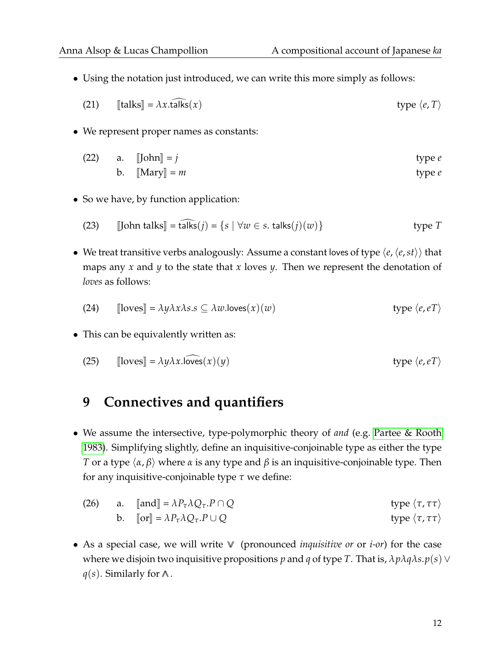• Using the notation just introduced, we can write this more simply as follows:

(21) 
$$
\llbracket \text{talks} \rrbracket = \lambda x. \text{talks}(x) \qquad \text{type } \langle e, T \rangle
$$

• We represent proper names as constants:

(22) a. 
$$
\llbracket \text{John} \rrbracket = j
$$
 type *e*  
b.  $\llbracket \text{Mary} \rrbracket = m$  type *e*

• So we have, by function application:

(23) [John talks] = talks(*j*) = {
$$
s | \forall w \in s
$$
. talks(*j*)(*w*)} type *T*

• We treat transitive verbs analogously: Assume a constant loves of type  $\langle e, \langle e, st \rangle \rangle$  that maps any *x* and *y* to the state that *x* loves *y*. Then we represent the denotation of *loves* as follows:

(24) 
$$
\llbracket \text{loves} \rrbracket = \lambda y \lambda x \lambda s.s \subseteq \lambda w.\text{loves}(x)(w) \qquad \text{type } \langle e, e \rangle
$$

• This can be equivalently written as:

(25) 
$$
\llbracket \text{loves} \rrbracket = \lambda y \lambda x \cdot \text{loves}(x)(y) \qquad \text{type } \langle e, e \rangle
$$

### **9 Connectives and quantifiers**

• We assume the intersective, type-polymorphic theory of *and* (e.g. [Partee & Rooth](#page-25-12) [1983\)](#page-25-12). Simplifying slightly, define an inquisitive-conjoinable type as either the type *T* or a type  $\langle \alpha, \beta \rangle$  where  $\alpha$  is any type and  $\beta$  is an inquisitive-conjoinable type. Then for any inquisitive-conjoinable type *τ* we define:

(26) a. 
$$
\[\text{and}\] = \lambda P_{\tau} \lambda Q_{\tau}. P \cap Q
$$
 type  $\langle \tau, \tau \tau \rangle$   
b.  $\[\text{or}\] = \lambda P_{\tau} \lambda Q_{\tau}. P \cup Q$  type  $\langle \tau, \tau \tau \rangle$ 

• As a special case, we will write ∨∨ (pronounced *inquisitive or* or *i-or*) for the case where we disjoin two inquisitive propositions *p* and *q* of type *T*. That is, *λpλqλs*.*p*(*s*)∨ *q*(*s*). Similarly for ∧.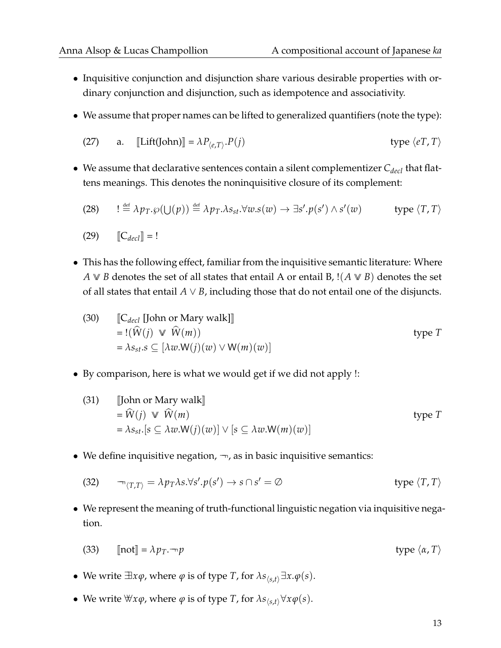- Inquisitive conjunction and disjunction share various desirable properties with ordinary conjunction and disjunction, such as idempotence and associativity.
- We assume that proper names can be lifted to generalized quantifiers (note the type):

(27) a. 
$$
[\text{Lift}(\text{John})] = \lambda P_{\langle e, T \rangle}.P(j)
$$
 type  $\langle e, T, T \rangle$ 

• We assume that declarative sentences contain a silent complementizer *Cdecl* that flattens meanings. This denotes the noninquisitive closure of its complement:

(28) 
$$
! \stackrel{\text{def}}{=} \lambda p_T \varphi(\bigcup(p)) \stackrel{\text{def}}{=} \lambda p_T \lambda s_{st} \forall w . s(w) \rightarrow \exists s'. p(s') \wedge s'(w) \qquad \text{type } \langle T, T \rangle
$$

$$
(29) \qquad \llbracket C_{decl} \rrbracket = !
$$

• This has the following effect, familiar from the inquisitive semantic literature: Where *A* ∨ *B* denotes the set of all states that entail *A* or entail *B*, !(*A* ∨ *B*) denotes the set of all states that entail  $A \vee B$ , including those that do not entail one of the disjuncts.

(30) 
$$
\begin{aligned} &\mathbb{C}_{\text{decl}} \left[ \text{John or Mary walk} \right] \\ &= !(\widehat{W}(j) \vee \widehat{W}(m)) \\ &= \lambda s_{st}.s \subseteq \left[ \lambda w.W(j)(w) \vee W(m)(w) \right] \end{aligned} \qquad \text{type } T
$$

• By comparison, here is what we would get if we did not apply !:

(31) [John or Mary walk]  
\n
$$
= \widehat{W}(j) \quad \text{W}(m)
$$
\n
$$
= \lambda s_{st} [s \subseteq \lambda w \cdot W(j)(w)] \vee [s \subseteq \lambda w \cdot W(m)(w)]
$$
\n
$$
(31)
$$

• We define inquisitive negation,  $\neg$ , as in basic inquisitive semantics:

(32) 
$$
\neg_{\langle T,T \rangle} = \lambda p_T \lambda s. \forall s'. p(s') \rightarrow s \cap s' = \emptyset \qquad \text{type } \langle T,T \rangle
$$

• We represent the meaning of truth-functional linguistic negation via inquisitive negation.

(33) 
$$
[\text{not}] = \lambda p_T \cdot \neg p
$$
 type  $\langle \alpha, T \rangle$ 

- We write  $\exists x \varphi$ , where  $\varphi$  is of type *T*, for  $\lambda s_{\langle s,t\rangle} \exists x.\varphi(s)$ .
- We write  $\forall x \varphi$ , where  $\varphi$  is of type *T*, for  $\lambda s_{\langle s,t \rangle} \forall x \varphi(s)$ .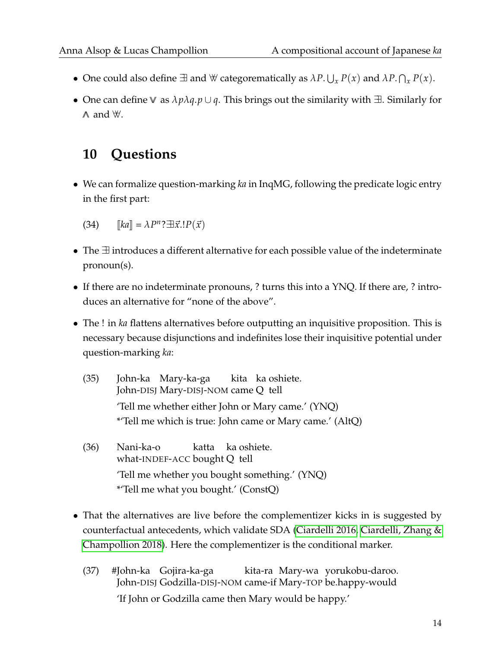- One could also define  $\exists$  and  $\forall$  categorematically as  $\lambda P. \bigcup_x P(x)$  and  $\lambda P. \bigcap_x P(x)$ .
- One can define ∨∨ as *λpλq*.*p* ∪ *q*. This brings out the similarity with ∃∃. Similarly for  $\wedge$  and  $\forall$ .

## **10 Questions**

• We can formalize question-marking *ka* in InqMG, following the predicate logic entry in the first part:

 $[Ka] = \lambda P^n$ ? $\exists \vec{x}. !P(\vec{x})$ 

- The ∃∃ introduces a different alternative for each possible value of the indeterminate pronoun(s).
- If there are no indeterminate pronouns, ? turns this into a YNQ. If there are, ? introduces an alternative for "none of the above".
- The ! in *ka* flattens alternatives before outputting an inquisitive proposition. This is necessary because disjunctions and indefinites lose their inquisitive potential under question-marking *ka*:
	- (35) John-ka Mary-ka-ga John-DISJ Mary-DISJ-NOM came Q tell kita ka oshiete. 'Tell me whether either John or Mary came.' (YNQ) \*'Tell me which is true: John came or Mary came.' (AltQ)
	- (36) Nani-ka-o what-INDEF-ACC bought Q tell katta ka oshiete. 'Tell me whether you bought something.' (YNQ) \*'Tell me what you bought.' (ConstQ)
- That the alternatives are live before the complementizer kicks in is suggested by counterfactual antecedents, which validate SDA [\(Ciardelli 2016,](#page-24-14) [Ciardelli, Zhang &](#page-24-15) [Champollion 2018\)](#page-24-15). Here the complementizer is the conditional marker.
	- (37) #John-ka Gojira-ka-ga John-DISJ Godzilla-DISJ-NOM came-if Mary-TOP be.happy-would kita-ra Mary-wa yorukobu-daroo. 'If John or Godzilla came then Mary would be happy.'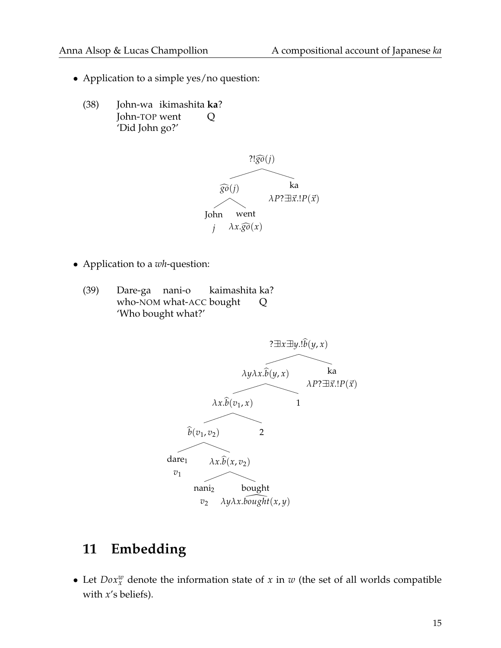- Application to a simple yes/no question:
	- (38) John-wa ikimashita **ka**? John-TOP went Q 'Did John go?'



- Application to a *wh*-question:
	- (39) Dare-ga nani-o who-NOM what-ACC bought kaimashita ka? Q 'Who bought what?'



## **11 Embedding**

• Let  $D\text{o}x_x^w$  denote the information state of *x* in *w* (the set of all worlds compatible with *x*'s beliefs).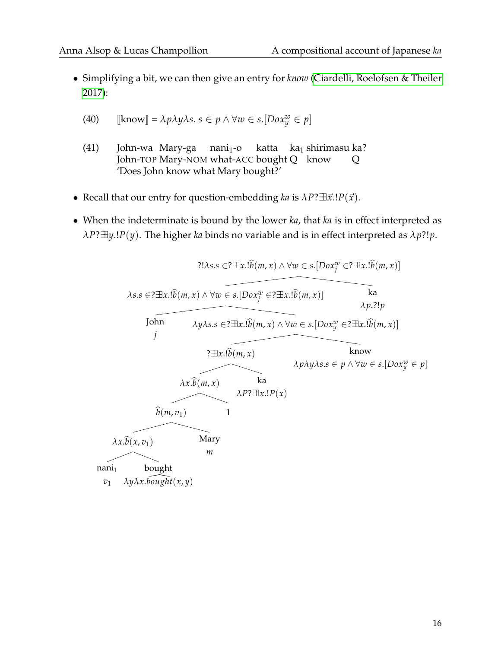• Simplifying a bit, we can then give an entry for *know* [\(Ciardelli, Roelofsen & Theiler](#page-24-2) [2017\)](#page-24-2):

(40) 
$$
[\text{know}] = \lambda p \lambda y \lambda s. s \in p \land \forall w \in s. [Dox_y^w \in p]
$$

- (41) John-wa Mary-ga John-TOP Mary-NOM what-ACC bought Q know  $nani<sub>1</sub> - o$ katta ka<sub>1</sub> shirimasu ka? Q 'Does John know what Mary bought?'
- Recall that our entry for question-embedding *ka* is  $\lambda P? \exists \vec{x}. !P(\vec{x})$ .
- When the indeterminate is bound by the lower *ka*, that *ka* is in effect interpreted as  $\lambda P$ ? $\exists y$ .!*P*(*y*). The higher *ka* binds no variable and is in effect interpreted as  $\lambda p$ ?!*p*.

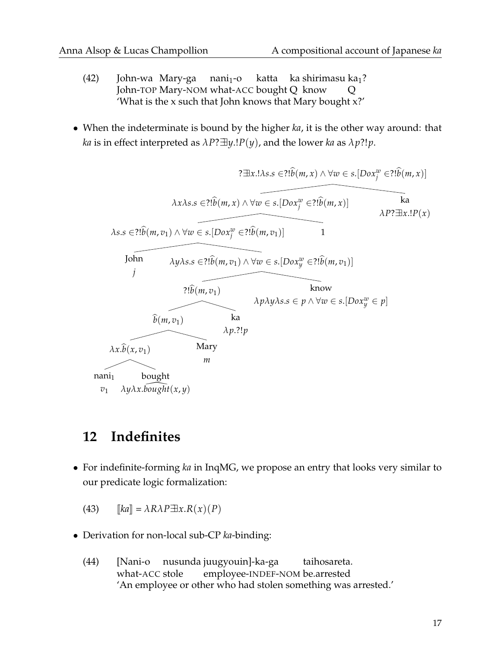- (42) John-wa Mary-ga nani<sub>1</sub>-o John-TOP Mary-NOM what-ACC bought Q know katta ka shirimasu ka<sub>1</sub>? Q 'What is the x such that John knows that Mary bought x?'
- When the indeterminate is bound by the higher *ka*, it is the other way around: that *ka* is in effect interpreted as  $\lambda P? \exists y.IP(y)$ , and the lower *ka* as  $\lambda p?!p$ .



### **12 Indefinites**

• For indefinite-forming *ka* in InqMG, we propose an entry that looks very similar to our predicate logic formalization:

 $[ka] = \lambda R \lambda P \exists x. R(x) (P)$ 

- Derivation for non-local sub-CP *ka*-binding:
	- (44) [Nani-o nusunda juugyouin]-ka-ga what-ACC stole employee-INDEF-NOM be.arrested taihosareta. 'An employee or other who had stolen something was arrested.'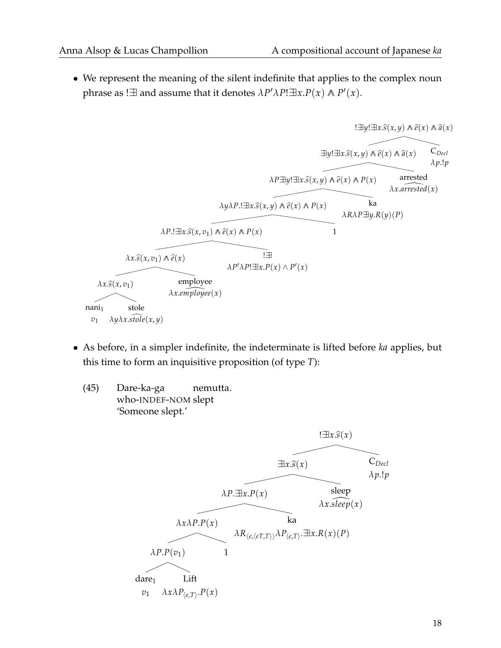• We represent the meaning of the silent indefinite that applies to the complex noun phrase as ! $\exists$  and assume that it denotes  $\lambda P' \lambda P! \exists x.P(x) \land P'(x)$ .

$$
\exists y!\exists x.\hat{s}(x,y) \land \hat{e}(x) \land \hat{a}(x)
$$
\n
$$
\exists y!\exists x.\hat{s}(x,y) \land \hat{e}(x) \land \hat{a}(x)
$$
\n
$$
\exists y!\exists x.\hat{s}(x,y) \land \hat{e}(x) \land \hat{a}(x)
$$
\n
$$
\land P \exists y!\exists x.\hat{s}(x,y) \land \hat{e}(x) \land P(x)
$$
\n
$$
\land P \exists y!\exists x.\hat{s}(x,y) \land \hat{e}(x) \land P(x)
$$
\n
$$
\land P \exists y!\exists x.\hat{s}(x,y) \land \hat{e}(x) \land P(x)
$$
\n
$$
\land R \land R \land P \exists y.R(y)(P)
$$
\n
$$
\land R \land R \land P \exists y.R(y)(P)
$$
\n
$$
\land x.\hat{s}(x,v_1)
$$
\n
$$
\land x.\hat{s}(x,v_1)
$$
\n
$$
\land P' \land P! \exists x.P(x) \land P'(x)
$$
\n
$$
\land x.\hat{s}(x,v_1)
$$
\n
$$
\land x.\hat{s}(x,v_1)
$$
\n
$$
\land x.\hat{s}(x,v_1)
$$
\n
$$
\land x.\hat{s}(x,v_1)
$$
\n
$$
\land x.\hat{s}(x,v_1)
$$
\n
$$
\land x.\hat{s}(x,v_1)
$$
\n
$$
\land x.\hat{s}(x,v_1)
$$
\n
$$
\land x.\hat{s}(x,v_1)
$$
\n
$$
\land x.\hat{s}(x,v_1)
$$
\n
$$
\land x.\hat{s}(x,v_1)
$$
\n
$$
\land x.\hat{s}(x,v_1)
$$
\n
$$
\land x.\hat{s}(x,v_1)
$$
\n
$$
\land x.\hat{s}(x,v_1)
$$
\n
$$
\land x.\hat{s}(x,v_1)
$$
\n
$$
\land x.\hat{s}(x,v_1)
$$
\n
$$
\land x.\hat{s}(x,v_1)
$$
\n
$$
\land x.\hat{s}(x,v_1)
$$
\n
$$
\land x.\hat{s}(x,v_1)
$$
\n
$$
\land x.\hat{s}(x,v_1)
$$
\n
$$
\land x.\hat{s}(x,v_1)
$$
\n
$$
\land x.\hat{s}(x,v_1
$$

- As before, in a simpler indefinite, the indeterminate is lifted before *ka* applies, but this time to form an inquisitive proposition (of type *T*):
	- (45) Dare-ka-ga who-INDEF-NOM slept nemutta. 'Someone slept.'

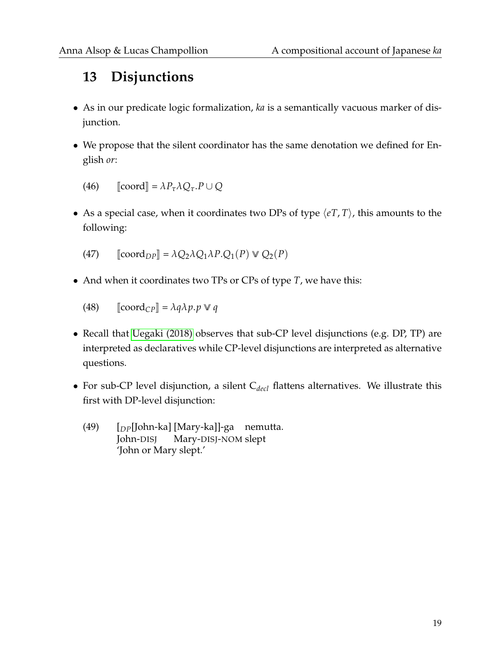## **13 Disjunctions**

- As in our predicate logic formalization, *ka* is a semantically vacuous marker of disjunction.
- We propose that the silent coordinator has the same denotation we defined for English *or*:

 $\text{[coord]} = \lambda P_\tau \lambda Q_\tau \cdot P \cup Q$ 

• As a special case, when it coordinates two DPs of type  $\langle eT, T \rangle$ , this amounts to the following:

(47)  $\lbrack \lbrack \text{coord}_{DP} \rbrack = \lambda Q_2 \lambda Q_1 \lambda P \cdot Q_1(P) \vee Q_2(P)$ 

• And when it coordinates two TPs or CPs of type *T*, we have this:

 $\left[$ (48)  $\left[$ coord<sub>CP</sub> $\right] = \lambda q \lambda p.p \vee q$ 

- Recall that [Uegaki \(2018\)](#page-25-1) observes that sub-CP level disjunctions (e.g. DP, TP) are interpreted as declaratives while CP-level disjunctions are interpreted as alternative questions.
- For sub-CP level disjunction, a silent C<sub>decl</sub> flattens alternatives. We illustrate this first with DP-level disjunction:
	- (49) [*DP*[John-ka] [Mary-ka]]-ga nemutta. John-DISJ Mary-DISJ-NOM slept 'John or Mary slept.'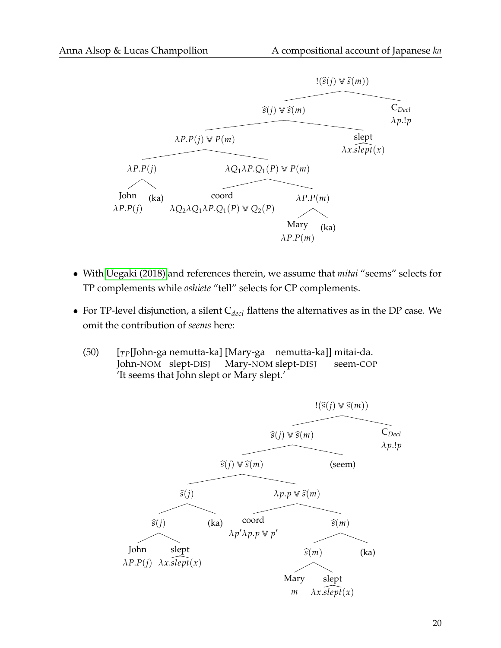

- With [Uegaki \(2018\)](#page-25-1) and references therein, we assume that *mitai* "seems" selects for TP complements while *oshiete* "tell" selects for CP complements.
- For TP-level disjunction, a silent C<sub>decl</sub> flattens the alternatives as in the DP case. We omit the contribution of *seems* here:
	- (50) [*TP*[John-ga nemutta-ka] [Mary-ga nemutta-ka]] mitai-da. John-NOM slept-DISJ Mary-NOM slept-DISJ seem-COP 'It seems that John slept or Mary slept.'

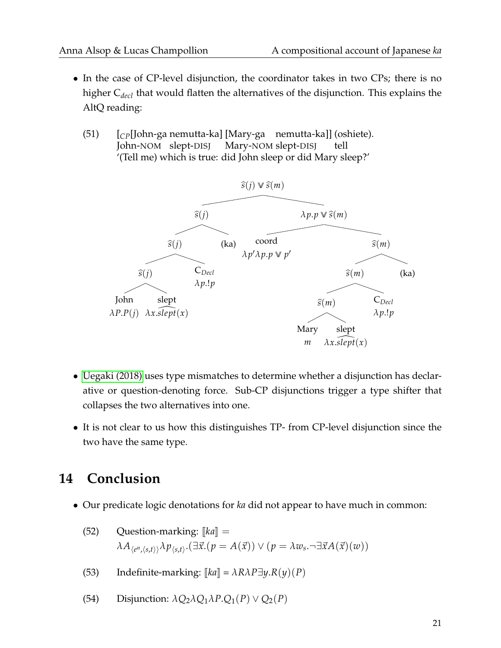- In the case of CP-level disjunction, the coordinator takes in two CPs; there is no higher C*decl* that would flatten the alternatives of the disjunction. This explains the AltQ reading:
	- (51) [*CP*[John-ga nemutta-ka] [Mary-ga nemutta-ka]] (oshiete). John-NOM slept-DISJ Mary-NOM slept-DISJ tell '(Tell me) which is true: did John sleep or did Mary sleep?'



- [Uegaki \(2018\)](#page-25-1) uses type mismatches to determine whether a disjunction has declarative or question-denoting force. Sub-CP disjunctions trigger a type shifter that collapses the two alternatives into one.
- It is not clear to us how this distinguishes TP- from CP-level disjunction since the two have the same type.

## **14 Conclusion**

• Our predicate logic denotations for *ka* did not appear to have much in common:

(52) Question-marking: 
$$
[[ka]] = \lambda A_{\langle e^n, \langle s, t \rangle \rangle} \lambda p_{\langle s, t \rangle}.
$$
  $(\exists \vec{x}. (p = A(\vec{x})) \vee (p = \lambda w_s. \neg \exists \vec{x} A(\vec{x})(w))$ 

- (53) Indefinite-marking:  $[[ka]] = \lambda R \lambda P \exists y.R(y)(P)$
- (54) Disjunction:  $\lambda Q_2 \lambda Q_1 \lambda P \cdot Q_1(P) \vee Q_2(P)$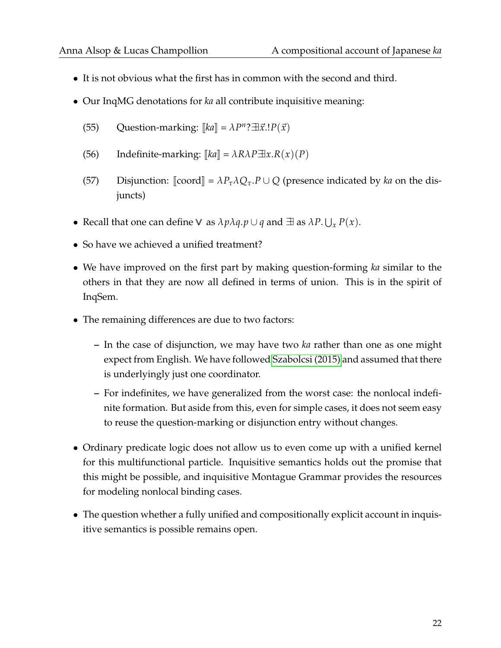- It is not obvious what the first has in common with the second and third.
- Our InqMG denotations for *ka* all contribute inquisitive meaning:
	- $(55)$  Question-marking:  $[[ka]] = \lambda P^n ? \exists \vec{x}. !P(\vec{x})$
	- (56) Indefinite-marking:  $\llbracket ka \rrbracket = \lambda R \lambda P \exists x. R(x) (P)$
	- (57) Disjunction:  $\llbracket \text{coord} \rrbracket = \lambda P_\tau \lambda Q_\tau \cdot P \cup Q$  (presence indicated by *ka* on the disjuncts)
- Recall that one can define  $\vee$  as  $\lambda p \lambda q$ . $p \cup q$  and  $\exists$  as  $\lambda P$ .  $\bigcup_x P(x)$ .
- So have we achieved a unified treatment?
- We have improved on the first part by making question-forming *ka* similar to the others in that they are now all defined in terms of union. This is in the spirit of InqSem.
- The remaining differences are due to two factors:
	- **–** In the case of disjunction, we may have two *ka* rather than one as one might expect from English. We have followed [Szabolcsi \(2015\)](#page-25-0) and assumed that there is underlyingly just one coordinator.
	- **–** For indefinites, we have generalized from the worst case: the nonlocal indefinite formation. But aside from this, even for simple cases, it does not seem easy to reuse the question-marking or disjunction entry without changes.
- Ordinary predicate logic does not allow us to even come up with a unified kernel for this multifunctional particle. Inquisitive semantics holds out the promise that this might be possible, and inquisitive Montague Grammar provides the resources for modeling nonlocal binding cases.
- The question whether a fully unified and compositionally explicit account in inquisitive semantics is possible remains open.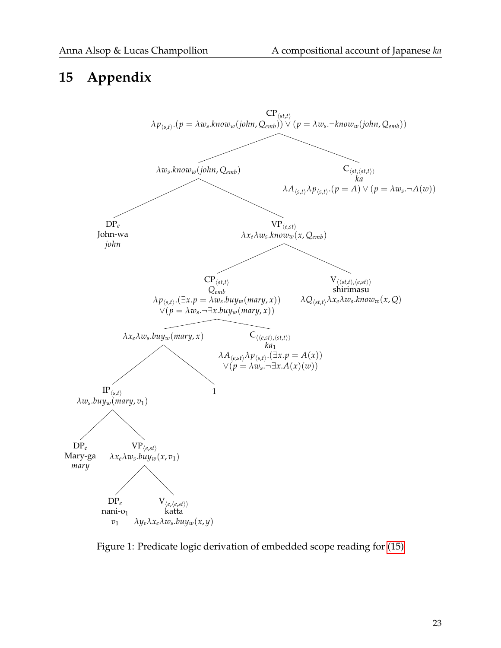### **15 Appendix**



<span id="page-22-0"></span>Figure 1: Predicate logic derivation of embedded scope reading for [\(15\)](#page-6-0)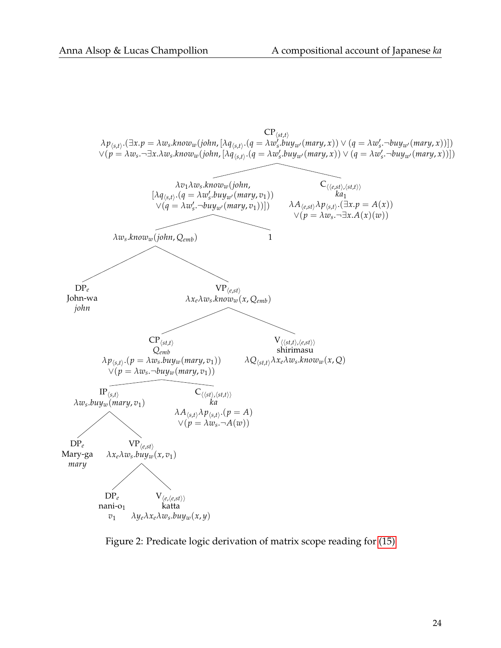

<span id="page-23-0"></span>Figure 2: Predicate logic derivation of matrix scope reading for [\(15\)](#page-6-0)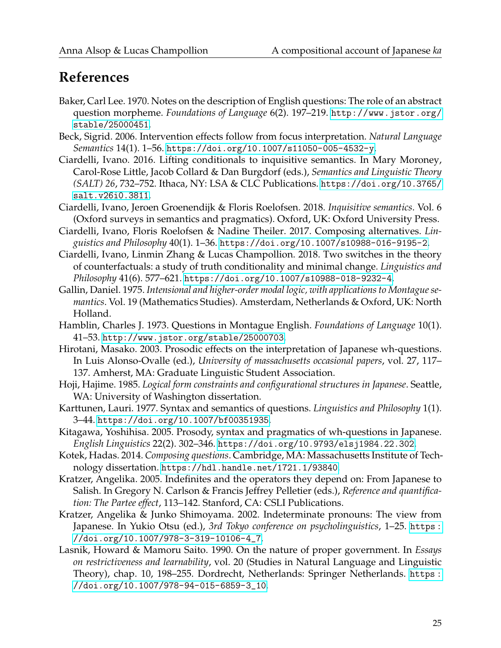## **References**

- <span id="page-24-9"></span>Baker, Carl Lee. 1970. Notes on the description of English questions: The role of an abstract question morpheme. *Foundations of Language* 6(2). 197–219. [http://www.jstor.org/](http://www.jstor.org/stable/25000451) [stable/25000451](http://www.jstor.org/stable/25000451).
- <span id="page-24-11"></span>Beck, Sigrid. 2006. Intervention effects follow from focus interpretation. *Natural Language Semantics* 14(1). 1–56. <https://doi.org/10.1007/s11050-005-4532-y>.
- <span id="page-24-14"></span>Ciardelli, Ivano. 2016. Lifting conditionals to inquisitive semantics. In Mary Moroney, Carol-Rose Little, Jacob Collard & Dan Burgdorf (eds.), *Semantics and Linguistic Theory (SALT) 26*, 732–752. Ithaca, NY: LSA & CLC Publications. [https://doi.org/10.3765/](https://doi.org/10.3765/salt.v26i0.3811) [salt.v26i0.3811](https://doi.org/10.3765/salt.v26i0.3811).
- <span id="page-24-0"></span>Ciardelli, Ivano, Jeroen Groenendijk & Floris Roelofsen. 2018. *Inquisitive semantics*. Vol. 6 (Oxford surveys in semantics and pragmatics). Oxford, UK: Oxford University Press.
- <span id="page-24-2"></span>Ciardelli, Ivano, Floris Roelofsen & Nadine Theiler. 2017. Composing alternatives. *Linguistics and Philosophy* 40(1). 1–36. <https://doi.org/10.1007/s10988-016-9195-2>.
- <span id="page-24-15"></span>Ciardelli, Ivano, Linmin Zhang & Lucas Champollion. 2018. Two switches in the theory of counterfactuals: a study of truth conditionality and minimal change. *Linguistics and Philosophy* 41(6). 577–621. <https://doi.org/10.1007/s10988-018-9232-4>.
- <span id="page-24-13"></span>Gallin, Daniel. 1975. *Intensional and higher-order modal logic, with applications to Montague semantics*. Vol. 19 (Mathematics Studies). Amsterdam, Netherlands & Oxford, UK: North Holland.
- <span id="page-24-5"></span>Hamblin, Charles J. 1973. Questions in Montague English. *Foundations of Language* 10(1). 41–53. <http://www.jstor.org/stable/25000703>.
- <span id="page-24-6"></span>Hirotani, Masako. 2003. Prosodic effects on the interpretation of Japanese wh-questions. In Luis Alonso-Ovalle (ed.), *University of massachusetts occasional papers*, vol. 27, 117– 137. Amherst, MA: Graduate Linguistic Student Association.
- <span id="page-24-4"></span>Hoji, Hajime. 1985. *Logical form constraints and configurational structures in Japanese*. Seattle, WA: University of Washington dissertation.
- <span id="page-24-10"></span>Karttunen, Lauri. 1977. Syntax and semantics of questions. *Linguistics and Philosophy* 1(1). 3–44. <https://doi.org/10.1007/bf00351935>.
- <span id="page-24-7"></span>Kitagawa, Yoshihisa. 2005. Prosody, syntax and pragmatics of wh-questions in Japanese. *English Linguistics* 22(2). 302–346. <https://doi.org/10.9793/elsj1984.22.302>.
- <span id="page-24-12"></span>Kotek, Hadas. 2014. *Composing questions*. Cambridge, MA: Massachusetts Institute of Technology dissertation. <https://hdl.handle.net/1721.1/93840>.
- <span id="page-24-8"></span>Kratzer, Angelika. 2005. Indefinites and the operators they depend on: From Japanese to Salish. In Gregory N. Carlson & Francis Jeffrey Pelletier (eds.), *Reference and quantification: The Partee effect*, 113–142. Stanford, CA: CSLI Publications.
- <span id="page-24-1"></span>Kratzer, Angelika & Junko Shimoyama. 2002. Indeterminate pronouns: The view from Japanese. In Yukio Otsu (ed.), *3rd Tokyo conference on psycholinguistics*, 1–25. [https :](https://doi.org/10.1007/978-3-319-10106-4_7) [//doi.org/10.1007/978-3-319-10106-4\\_7](https://doi.org/10.1007/978-3-319-10106-4_7).
- <span id="page-24-3"></span>Lasnik, Howard & Mamoru Saito. 1990. On the nature of proper government. In *Essays on restrictiveness and learnability*, vol. 20 (Studies in Natural Language and Linguistic Theory), chap. 10, 198–255. Dordrecht, Netherlands: Springer Netherlands. [https :](https://doi.org/10.1007/978-94-015-6859-3_10) [//doi.org/10.1007/978-94-015-6859-3\\_10](https://doi.org/10.1007/978-94-015-6859-3_10).